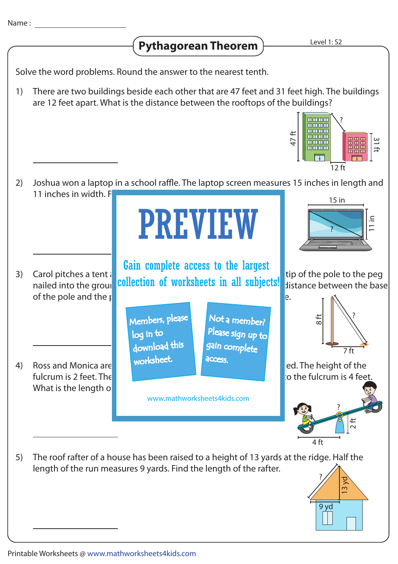## **Pythagorean Theorem**

Solve the word problems. Round the answer to the nearest tenth.

There are two buildings beside each other that are 47 feet and 31 feet high. The buildings are 12 feet apart. What is the distance between the rooftops of the buildings? 1)



- 2) Carol pitches a tent  $\frac{1}{2}$   $\frac{1}{2}$   $\frac{1}{2}$   $\frac{1}{2}$   $\frac{1}{2}$   $\frac{1}{2}$   $\frac{1}{2}$  tip of the pole to the peg cally prefits a term of **collection of worksheets in all subjects!** Signified into the post is 8 feet high pole in of the pole and the  $\mathfrak{g}$  is 7 feet. Determine the length of the rope. 3) Ross and Monica are playing on a second section and seat is grounded. The height of the fulcrum is 2 feet. The distance from grounded end of the seesaw to the seeded end of the seeded end of the seed What is the length  $o$ 4) Joshua won a laptop in a school raffle. The laptop screen measures 15 inches in length and 11 inches in width. F  $\frac{1}{2}$ 4 ft ?  $\Xi$ 15 in ? 8 ft  $\overline{7}$  ft ? PREVIEW www.mathworksheets4kids.com Members, please download this worksheet. log in to Not a member? gain complete Please sign up to **access** Gain complete access to the largest
- The roof rafter of a house has been raised to a height of 13 yards at the ridge. Half the length of the run measures 9 yards. Find the length of the rafter. 5) ?



 $\infty$